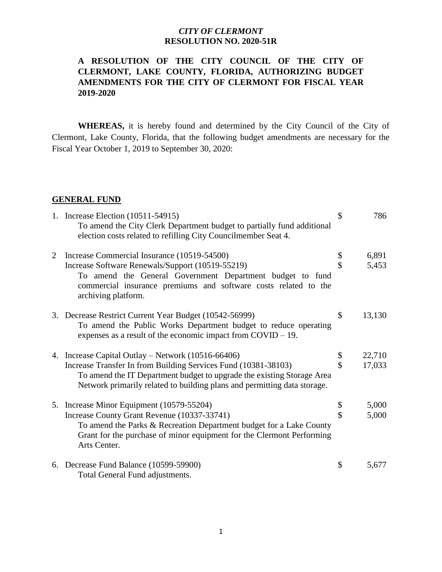### *CITY OF CLERMONT* **RESOLUTION NO. 2020-51R**

## **A RESOLUTION OF THE CITY COUNCIL OF THE CITY OF CLERMONT, LAKE COUNTY, FLORIDA, AUTHORIZING BUDGET AMENDMENTS FOR THE CITY OF CLERMONT FOR FISCAL YEAR 2019-2020**

 **WHEREAS,** it is hereby found and determined by the City Council of the City of Clermont, Lake County, Florida, that the following budget amendments are necessary for the Fiscal Year October 1, 2019 to September 30, 2020:

## **GENERAL FUND**

|   | 1. Increase Election (10511-54915)<br>To amend the City Clerk Department budget to partially fund additional<br>election costs related to refilling City Councilmember Seat 4.                                                                                             | \$       | 786              |
|---|----------------------------------------------------------------------------------------------------------------------------------------------------------------------------------------------------------------------------------------------------------------------------|----------|------------------|
| 2 | Increase Commercial Insurance (10519-54500)<br>Increase Software Renewals/Support (10519-55219)<br>To amend the General Government Department budget to fund<br>commercial insurance premiums and software costs related to the<br>archiving platform.                     | \$<br>\$ | 6,891<br>5,453   |
|   | 3. Decrease Restrict Current Year Budget (10542-56999)<br>To amend the Public Works Department budget to reduce operating<br>expenses as a result of the economic impact from $COVID - 19$ .                                                                               | \$       | 13,130           |
|   | 4. Increase Capital Outlay – Network (10516-66406)<br>Increase Transfer In from Building Services Fund (10381-38103)<br>To amend the IT Department budget to upgrade the existing Storage Area<br>Network primarily related to building plans and permitting data storage. | \$<br>\$ | 22,710<br>17,033 |
|   | 5. Increase Minor Equipment (10579-55204)<br>Increase County Grant Revenue (10337-33741)<br>To amend the Parks & Recreation Department budget for a Lake County<br>Grant for the purchase of minor equipment for the Clermont Performing<br>Arts Center.                   | \$<br>\$ | 5,000<br>5,000   |
|   | 6. Decrease Fund Balance (10599-59900)<br>Total General Fund adjustments.                                                                                                                                                                                                  | \$       | 5,677            |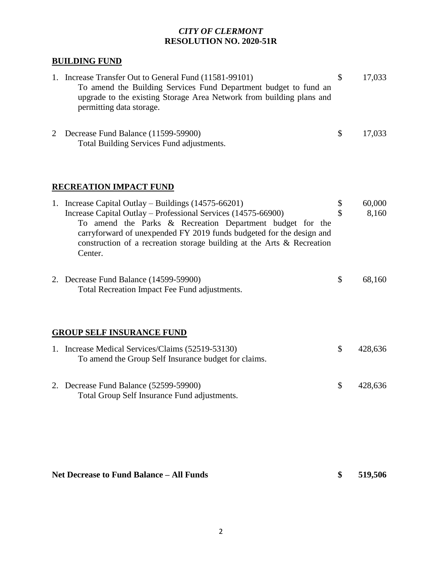# *CITY OF CLERMONT*  **RESOLUTION NO. 2020-51R**

# **BUILDING FUND**

|                                  | 1. Increase Transfer Out to General Fund (11581-99101)<br>To amend the Building Services Fund Department budget to fund an<br>upgrade to the existing Storage Area Network from building plans and<br>permitting data storage.                                                                                                                  | \$       | 17,033          |  |  |
|----------------------------------|-------------------------------------------------------------------------------------------------------------------------------------------------------------------------------------------------------------------------------------------------------------------------------------------------------------------------------------------------|----------|-----------------|--|--|
| 2                                | Decrease Fund Balance (11599-59900)<br>Total Building Services Fund adjustments.                                                                                                                                                                                                                                                                | \$       | 17,033          |  |  |
|                                  | <b>RECREATION IMPACT FUND</b>                                                                                                                                                                                                                                                                                                                   |          |                 |  |  |
|                                  | 1. Increase Capital Outlay - Buildings (14575-66201)<br>Increase Capital Outlay – Professional Services (14575-66900)<br>To amend the Parks & Recreation Department budget for the<br>carryforward of unexpended FY 2019 funds budgeted for the design and<br>construction of a recreation storage building at the Arts & Recreation<br>Center. | \$<br>\$ | 60,000<br>8,160 |  |  |
|                                  | 2. Decrease Fund Balance (14599-59900)<br>Total Recreation Impact Fee Fund adjustments.                                                                                                                                                                                                                                                         | \$       | 68,160          |  |  |
| <b>GROUP SELF INSURANCE FUND</b> |                                                                                                                                                                                                                                                                                                                                                 |          |                 |  |  |
|                                  | 1. Increase Medical Services/Claims (52519-53130)<br>To amend the Group Self Insurance budget for claims.                                                                                                                                                                                                                                       | \$       | 428,636         |  |  |
|                                  | 2. Decrease Fund Balance (52599-59900)<br>Total Group Self Insurance Fund adjustments.                                                                                                                                                                                                                                                          | \$       | 428,636         |  |  |
|                                  |                                                                                                                                                                                                                                                                                                                                                 |          |                 |  |  |

**Net Decrease to Fund Balance – All Funds \$ 519,506**